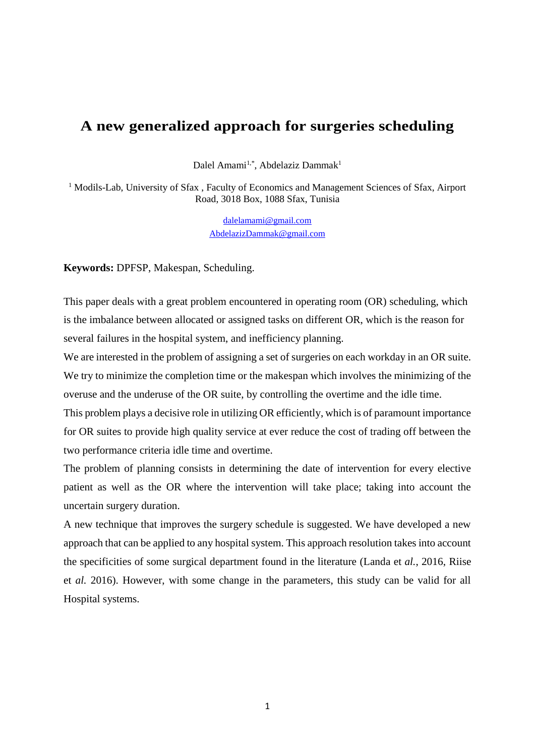## **A new generalized approach for surgeries scheduling**

Dalel Amami<sup>1,\*</sup>, Abdelaziz Dammak<sup>1</sup>

<sup>1</sup> Modils-Lab, University of Sfax, Faculty of Economics and Management Sciences of Sfax, Airport Road, 3018 Box, 1088 Sfax, Tunisia

> [dalelamami@gmail.com](mailto:dalelamami@gmail.com) AbdelazizDammak@gmail.com

**Keywords:** DPFSP, Makespan, Scheduling.

This paper deals with a great problem encountered in operating room (OR) scheduling, which is the imbalance between allocated or assigned tasks on different OR, which is the reason for several failures in the hospital system, and inefficiency planning.

We are interested in the problem of assigning a set of surgeries on each workday in an OR suite. We try to minimize the completion time or the makespan which involves the minimizing of the overuse and the underuse of the OR suite, by controlling the overtime and the idle time.

This problem plays a decisive role in utilizing OR efficiently, which is of paramount importance for OR suites to provide high quality service at ever reduce the cost of trading off between the two performance criteria idle time and overtime.

The problem of planning consists in determining the date of intervention for every elective patient as well as the OR where the intervention will take place; taking into account the uncertain surgery duration.

A new technique that improves the surgery schedule is suggested. We have developed a new approach that can be applied to any hospital system. This approach resolution takes into account the specificities of some surgical department found in the literature (Landa et *al.*, 2016, Riise et *al.* 2016). However, with some change in the parameters, this study can be valid for all Hospital systems.